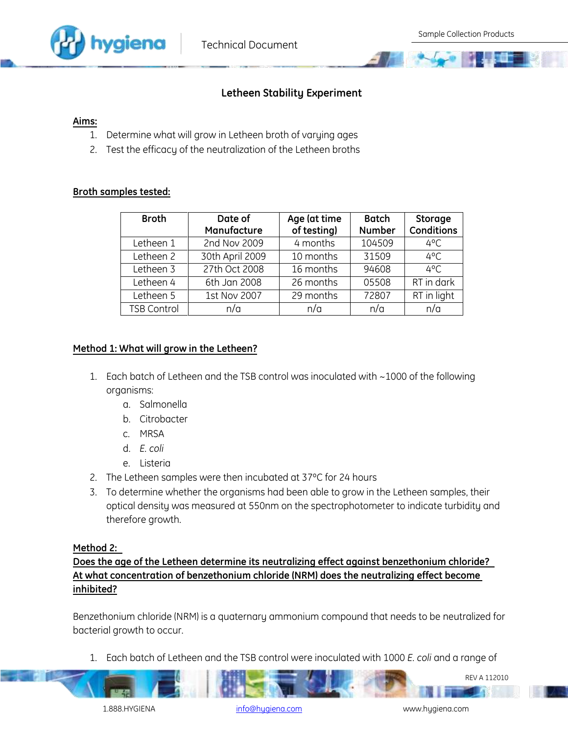

# **Letheen Stability Experiment**

#### **Aims:**

- 1. Determine what will grow in Letheen broth of varying ages
- 2. Test the efficacy of the neutralization of the Letheen broths

### **Broth samples tested:**

| <b>Broth</b>       | Date of<br>Manufacture | Age (at time<br>of testing) | <b>Batch</b><br><b>Number</b> | Storage<br><b>Conditions</b> |
|--------------------|------------------------|-----------------------------|-------------------------------|------------------------------|
| Letheen 1          | 2nd Nov 2009           | 4 months                    | 104509                        | $4^{\circ}$ C                |
| Letheen 2          | 30th April 2009        | 10 months                   | 31509                         | $4^{\circ}$ C                |
| Letheen 3          | 27th Oct 2008          | 16 months                   | 94608                         | $4^{\circ}$ C                |
| Letheen 4          | 6th Jan 2008           | 26 months                   | 05508                         | RT in dark                   |
| Letheen 5          | 1st Nov 2007           | 29 months                   | 72807                         | RT in light                  |
| <b>TSB Control</b> | n/a                    | n/a                         | n/a                           | n/a                          |

## **Method 1: What will grow in the Letheen?**

- 1. Each batch of Letheen and the TSB control was inoculated with ~1000 of the following organisms:
	- a. Salmonella
	- b. Citrobacter
	- c. MRSA
	- d. *E. coli*
	- e. Listeria
- 2. The Letheen samples were then incubated at 37ºC for 24 hours
- 3. To determine whether the organisms had been able to grow in the Letheen samples, their optical density was measured at 550nm on the spectrophotometer to indicate turbidity and therefore growth.

## **Method 2:**

**Does the age of the Letheen determine its neutralizing effect against benzethonium chloride? At what concentration of benzethonium chloride (NRM) does the neutralizing effect become inhibited?**

Benzethonium chloride (NRM) is a quaternary ammonium compound that needs to be neutralized for bacterial growth to occur.

1. Each batch of Letheen and the TSB control were inoculated with 1000 *E. coli* and a range of

REV A 112010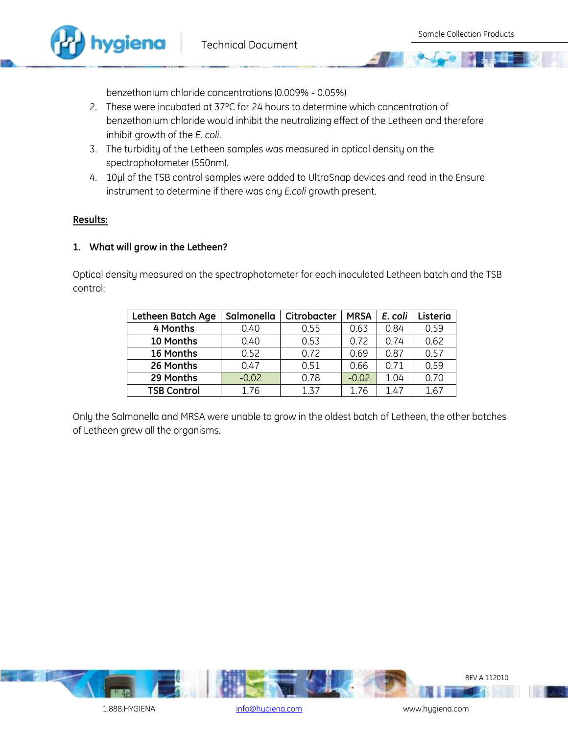

benzethonium chloride concentrations (0.009% - 0.05%)

- 2. These were incubated at 37°C for 24 hours to determine which concentration of benzethonium chloride would inhibit the neutralizing effect of the Letheen and therefore inhibit growth of the *E. coli*.
- 3. The turbidity of the Letheen samples was measured in optical density on the spectrophotometer (550nm).
- 4. 10µl of the TSB control samples were added to UltraSnap devices and read in the Ensure instrument to determine if there was any *E.coli* growth present.

### **Results:**

### **1. What will grow in the Letheen?**

Optical density measured on the spectrophotometer for each inoculated Letheen batch and the TSB control:

| Letheen Batch Age  | Salmonella | Citrobacter | <b>MRSA</b> | E. coli | Listeria |
|--------------------|------------|-------------|-------------|---------|----------|
| 4 Months           | 0.40       | 0.55        | 0.63        | 0.84    | 0.59     |
| 10 Months          | 0.40       | 0.53        | 0.72        | 0.74    | 0.62     |
| 16 Months          | 0.52       | 0.72        | 0.69        | 0.87    | 0.57     |
| 26 Months          | 0.47       | 0.51        | 0.66        | 0.71    | 0.59     |
| 29 Months          | $-0.02$    | 0.78        | $-0.02$     | 1.04    | 0.70     |
| <b>TSB Control</b> | 1.76       | 137         | 1.76        | 1.47    | 1.67     |

Only the Salmonella and MRSA were unable to grow in the oldest batch of Letheen, the other batches of Letheen grew all the organisms.



1.888.HYGIENA [info@hygiena.com](mailto:info@hygiena.com) info@hygiena.com www.hygiena.com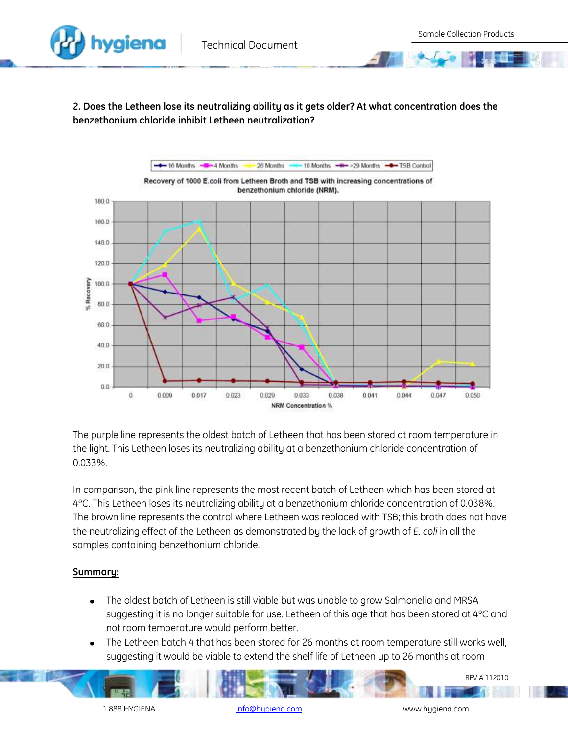**2. Does the Letheen lose its neutralizing ability as it gets older? At what concentration does the benzethonium chloride inhibit Letheen neutralization?** 



The purple line represents the oldest batch of Letheen that has been stored at room temperature in the light. This Letheen loses its neutralizing ability at a benzethonium chloride concentration of 0.033%.

In comparison, the pink line represents the most recent batch of Letheen which has been stored at 4ºC. This Letheen loses its neutralizing ability at a benzethonium chloride concentration of 0.038%. The brown line represents the control where Letheen was replaced with TSB; this broth does not have the neutralizing effect of the Letheen as demonstrated by the lack of growth of *E. coli* in all the samples containing benzethonium chloride.

## **Summary:**

- The oldest batch of Letheen is still viable but was unable to grow Salmonella and MRSA suggesting it is no longer suitable for use. Letheen of this age that has been stored at 4°C and not room temperature would perform better.
- The Letheen batch 4 that has been stored for 26 months at room temperature still works well,  $\bullet$ suggesting it would be viable to extend the shelf life of Letheen up to 26 months at room

1.888.HYGIENA [info@hygiena.com](mailto:info@hygiena.com) www.hygiena.com

REV A 112010